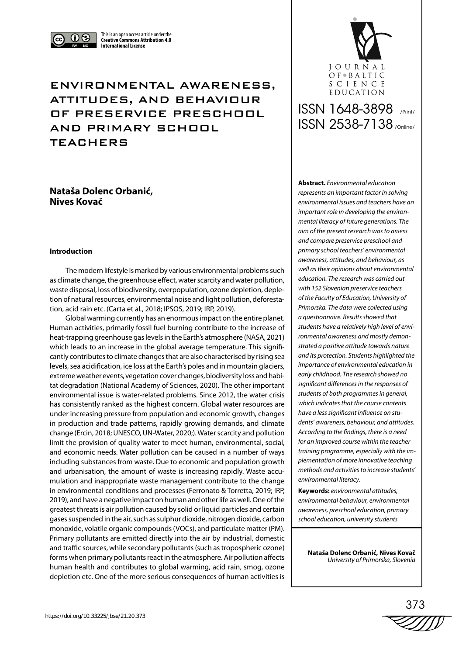

This is an open access article under the **Creative Commons Attribution 4.0 International License**

## ENVIRONMENTAL AWARENESS, ATTITUDES, AND BEHAVIOUR OF PRESERVICE PRESCHOOL AND PRIMARY SCHOOL TEACHERS

## **Nataša Dolenc Orbanić, Nives Kovač**

#### **Introduction**

The modern lifestyle is marked by various environmental problems such as climate change, the greenhouse effect, water scarcity and water pollution, waste disposal, loss of biodiversity, overpopulation, ozone depletion, depletion of natural resources, environmental noise and light pollution, deforestation, acid rain etc. (Carta et al*.*, 2018; IPSOS, 2019; IRP, 2019).

Global warming currently has an enormous impact on the entire planet. Human activities, primarily fossil fuel burning contribute to the increase of heat-trapping greenhouse gas levels in the Earth's atmosphere (NASA, 2021) which leads to an increase in the global average temperature. This significantly contributes to climate changes that are also characterised by rising sea levels, sea acidification, ice loss at the Earth's poles and in mountain glaciers, extreme weather events, vegetation cover changes, biodiversity loss and habitat degradation (National Academy of Sciences, 2020). The other important environmental issue is water-related problems. Since 2012, the water crisis has consistently ranked as the highest concern. Global water resources are under increasing pressure from population and economic growth, changes in production and trade patterns, rapidly growing demands, and climate change (Ercin, 2018; UNESCO, UN-Water, 2020;). Water scarcity and pollution limit the provision of quality water to meet human, environmental, social, and economic needs. Water pollution can be caused in a number of ways including substances from waste. Due to economic and population growth and urbanisation, the amount of waste is increasing rapidly. Waste accumulation and inappropriate waste management contribute to the change in environmental conditions and processes (Ferronato & Torretta, 2019; IRP, 2019), and have a negative impact on human and other life as well. One of the greatest threats is air pollution caused by solid or liquid particles and certain gases suspended in the air, such as sulphur dioxide, nitrogen dioxide, carbon monoxide, volatile organic compounds (VOCs), and particulate matter (PM). Primary pollutants are emitted directly into the air by industrial, domestic and traffic sources, while secondary pollutants (such as tropospheric ozone) forms when primary pollutants react in the atmosphere. Air pollution affects human health and contributes to global warming, acid rain, smog, ozone depletion etc. One of the more serious consequences of human activities is



# ISSN 1648-3898 /Print/ ISSN 2538-7138 /Online/

**Abstract.** *Environmental education represents an important factor in solving environmental issues and teachers have an important role in developing the environmental literacy of future generations. The aim of the present research was to assess and compare preservice preschool and primary school teachers' environmental awareness, attitudes, and behaviour, as well as their opinions about environmental education. The research was carried out with 152 Slovenian preservice teachers of the Faculty of Education, University of Primorska. The data were collected using a questionnaire. Results showed that students have a relatively high level of environmental awareness and mostly demonstrated a positive attitude towards nature and its protection. Students highlighted the importance of environmental education in early childhood. The research showed no significant differences in the responses of students of both programmes in general, which indicates that the course contents have a less significant influence on students' awareness, behaviour, and attitudes. According to the findings, there is a need for an improved course within the teacher training programme, especially with the implementation of more innovative teaching methods and activities to increase students' environmental literacy.* 

**Keywords:** *environmental attitudes, environmental behaviour, environmental awareness, preschool education, primary school education, university students*

**Nataša Dolenc Orbanić, Nives Kovač** *University of Primorska, Slovenia*

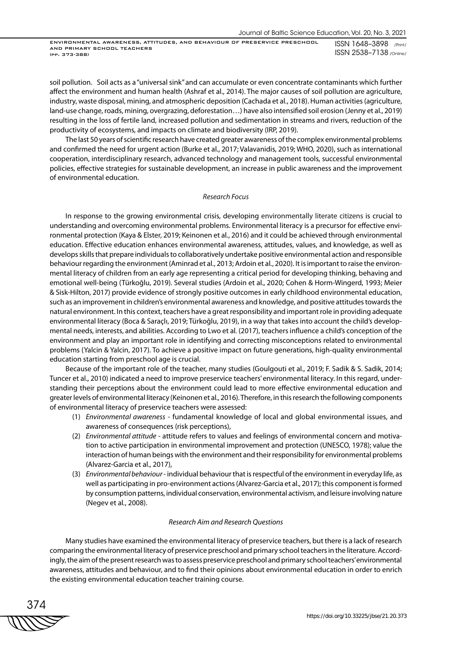soil pollution. Soil acts as a "universal sink" and can accumulate or even concentrate contaminants which further affect the environment and human health (Ashraf et al., 2014). The major causes of soil pollution are agriculture, industry, waste disposal, mining, and atmospheric deposition (Cachada et al*.*, 2018). Human activities (agriculture, land-use change, roads, mining, overgrazing, deforestation…) have also intensified soil erosion (Jenny et al., 2019) resulting in the loss of fertile land, increased pollution and sedimentation in streams and rivers, reduction of the productivity of ecosystems, and impacts on climate and biodiversity (IRP, 2019).

The last 50 years of scientific research have created greater awareness of the complex environmental problems and confirmed the need for urgent action (Burke et al., 2017; Valavanidis, 2019; WHO, 2020), such as international cooperation, interdisciplinary research, advanced technology and management tools, successful environmental policies, effective strategies for sustainable development, an increase in public awareness and the improvement of environmental education.

#### *Research Focus*

In response to the growing environmental crisis, developing environmentally literate citizens is crucial to understanding and overcoming environmental problems. Environmental literacy is a precursor for effective environmental protection (Kaya & Elster, 2019; Keinonen et al*.*, 2016) and it could be achieved through environmental education. Effective education enhances environmental awareness, attitudes, values, and knowledge, as well as develops skills that prepare individuals to collaboratively undertake positive environmental action and responsible behaviour regarding the environment (Aminrad et al*.*, 2013; Ardoin et al*.*, 2020). It is important to raise the environmental literacy of children from an early age representing a critical period for developing thinking, behaving and emotional well-being (Türkoğlu, 2019). Several studies (Ardoin et al., 2020; Cohen & Horm-Wingerd, 1993; Meier & Sisk-Hilton, 2017) provide evidence of strongly positive outcomes in early childhood environmental education, such as an improvement in children's environmental awareness and knowledge, and positive attitudes towards the natural environment. In this context, teachers have a great responsibility and important role in providing adequate environmental literacy (Boca & Saraçlı, 2019; Türkoğlu, 2019), in a way that takes into account the child's developmental needs, interests, and abilities. According to Lwo et al*.* (2017), teachers influence a child's conception of the environment and play an important role in identifying and correcting misconceptions related to environmental problems (Yalcin & Yalcin, 2017). To achieve a positive impact on future generations, high-quality environmental education starting from preschool age is crucial.

Because of the important role of the teacher, many studies (Goulgouti et al., 2019; F. Sadik & S. Sadik, 2014; Tuncer et al., 2010) indicated a need to improve preservice teachers' environmental literacy. In this regard, understanding their perceptions about the environment could lead to more effective environmental education and greater levels of environmental literacy (Keinonen et al*.,* 2016). Therefore, in this research the following components of environmental literacy of preservice teachers were assessed:

- (1) *Environmental awareness* fundamental knowledge of local and global environmental issues, and awareness of consequences (risk perceptions),
- (2) *Environmental attitude* attitude refers to values and feelings of environmental concern and motivation to active participation in environmental improvement and protection (UNESCO, 1978); value the interaction of human beings with the environment and their responsibility for environmental problems (Alvarez-Garcia et al., 2017),
- (3) *Environmental behaviour* individual behaviour that is respectful of the environment in everyday life, as well as participating in pro-environment actions (Alvarez-Garcia et al., 2017); this component is formed by consumption patterns, individual conservation, environmental activism, and leisure involving nature (Negev et al*.*, 2008).

#### *Research Aim and Research Questions*

Many studies have examined the environmental literacy of preservice teachers, but there is a lack of research comparing the environmental literacy of preservice preschool and primary school teachers in the literature. Accordingly, the aim of the present research was to assess preservice preschool and primary school teachers' environmental awareness, attitudes and behaviour, and to find their opinions about environmental education in order to enrich the existing environmental education teacher training course.

374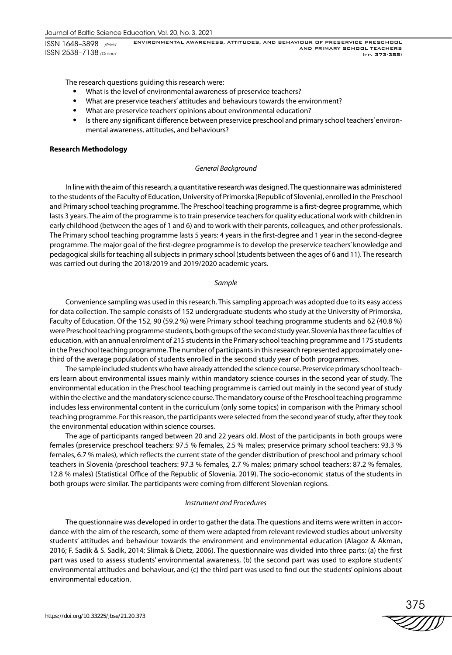The research questions guiding this research were:

- What is the level of environmental awareness of preservice teachers?
- What are preservice teachers' attitudes and behaviours towards the environment?
- What are preservice teachers' opinions about environmental education?
- Is there any significant difference between preservice preschool and primary school teachers' environmental awareness, attitudes, and behaviours?

#### **Research Methodology**

#### *General Background*

In line with the aim of this research, a quantitative research was designed. The questionnaire was administered to the students of the Faculty of Education, University of Primorska (Republic of Slovenia), enrolled in the Preschool and Primary school teaching programme. The Preschool teaching programme is a first-degree programme, which lasts 3 years. The aim of the programme is to train preservice teachers for quality educational work with children in early childhood (between the ages of 1 and 6) and to work with their parents, colleagues, and other professionals. The Primary school teaching programme lasts 5 years: 4 years in the first-degree and 1 year in the second-degree programme. The major goal of the first-degree programme is to develop the preservice teachers' knowledge and pedagogical skills for teaching all subjects in primary school (students between the ages of 6 and 11). The research was carried out during the 2018/2019 and 2019/2020 academic years.

#### *Sample*

Convenience sampling was used in this research. This sampling approach was adopted due to its easy access for data collection. The sample consists of 152 undergraduate students who study at the University of Primorska, Faculty of Education. Of the 152, 90 (59.2 %) were Primary school teaching programme students and 62 (40.8 %) were Preschool teaching programme students, both groups of the second study year. Slovenia has three faculties of education, with an annual enrolment of 215 students in the Primary school teaching programme and 175 students in the Preschool teaching programme. The number of participants in this research represented approximately onethird of the average population of students enrolled in the second study year of both programmes.

The sample included students who have already attended the science course. Preservice primary school teachers learn about environmental issues mainly within mandatory science courses in the second year of study. The environmental education in the Preschool teaching programme is carried out mainly in the second year of study within the elective and the mandatory science course. The mandatory course of the Preschool teaching programme includes less environmental content in the curriculum (only some topics) in comparison with the Primary school teaching programme. For this reason, the participants were selected from the second year of study, after they took the environmental education within science courses.

The age of participants ranged between 20 and 22 years old. Most of the participants in both groups were females (preservice preschool teachers: 97.5 % females, 2.5 % males; preservice primary school teachers: 93.3 % females, 6.7 % males), which reflects the current state of the gender distribution of preschool and primary school teachers in Slovenia (preschool teachers: 97.3 % females, 2.7 % males; primary school teachers: 87.2 % females, 12.8 % males) (Statistical Office of the Republic of Slovenia, 2019). The socio-economic status of the students in both groups were similar. The participants were coming from different Slovenian regions.

#### *Instrument and Procedures*

The questionnaire was developed in order to gather the data. The questions and items were written in accordance with the aim of the research, some of them were adapted from relevant reviewed studies about university students' attitudes and behaviour towards the environment and environmental education (Alagoz & Akman, 2016; F. Sadik & S. Sadik, 2014; Slimak & Dietz, 2006). The questionnaire was divided into three parts: (a) the first part was used to assess students' environmental awareness, (b) the second part was used to explore students' environmental attitudes and behaviour, and (c) the third part was used to find out the students' opinions about environmental education.

375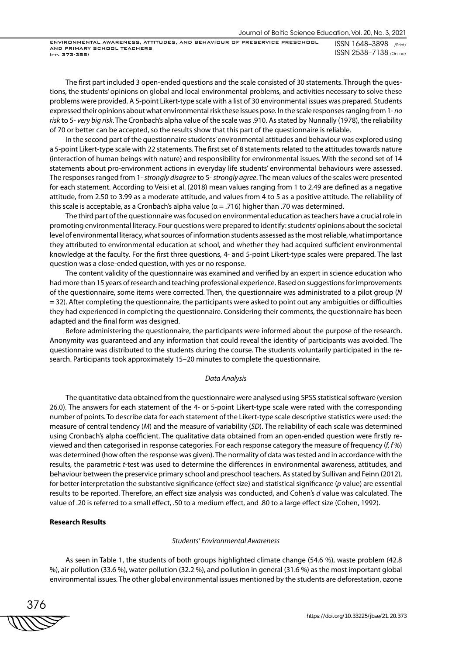The first part included 3 open-ended questions and the scale consisted of 30 statements. Through the questions, the students' opinions on global and local environmental problems, and activities necessary to solve these problems were provided. A 5-point Likert-type scale with a list of 30 environmental issues was prepared. Students expressed their opinions about what environmental risk these issues pose. In the scale responses ranging from 1- *no risk* to 5- *very big risk*. The Cronbach's alpha value of the scale was .910. As stated by Nunnally (1978), the reliability of 70 or better can be accepted, so the results show that this part of the questionnaire is reliable.

In the second part of the questionnaire students' environmental attitudes and behaviour was explored using a 5-point Likert-type scale with 22 statements. The first set of 8 statements related to the attitudes towards nature (interaction of human beings with nature) and responsibility for environmental issues. With the second set of 14 statements about pro-environment actions in everyday life students' environmental behaviours were assessed. The responses ranged from 1- *strongly disagree* to 5- *strongly agree*. The mean values of the scales were presented for each statement. According to Veisi et al. (2018) mean values ranging from 1 to 2.49 are defined as a negative attitude, from 2.50 to 3.99 as a moderate attitude, and values from 4 to 5 as a positive attitude. The reliability of this scale is acceptable, as a Cronbach's alpha value ( $\alpha$  = .716) higher than .70 was determined.

The third part of the questionnaire was focused on environmental education as teachers have a crucial role in promoting environmental literacy. Four questions were prepared to identify: students' opinions about the societal level of environmental literacy, what sources of information students assessed as the most reliable, what importance they attributed to environmental education at school, and whether they had acquired sufficient environmental knowledge at the faculty. For the first three questions, 4- and 5-point Likert-type scales were prepared. The last question was a close-ended question, with yes or no response.

The content validity of the questionnaire was examined and verified by an expert in science education who had more than 15 years of research and teaching professional experience. Based on suggestions for improvements of the questionnaire, some items were corrected. Then, the questionnaire was administrated to a pilot group (*N* = 32). After completing the questionnaire, the participants were asked to point out any ambiguities or difficulties they had experienced in completing the questionnaire. Considering their comments, the questionnaire has been adapted and the final form was designed.

Before administering the questionnaire, the participants were informed about the purpose of the research. Anonymity was guaranteed and any information that could reveal the identity of participants was avoided. The questionnaire was distributed to the students during the course. The students voluntarily participated in the research. Participants took approximately 15–20 minutes to complete the questionnaire.

#### *Data Analysis*

The quantitative data obtained from the questionnaire were analysed using SPSS statistical software (version 26.0). The answers for each statement of the 4- or 5-point Likert-type scale were rated with the corresponding number of points. To describe data for each statement of the Likert-type scale descriptive statistics were used: the measure of central tendency (*M*) and the measure of variability (*SD*). The reliability of each scale was determined using Cronbach's alpha coefficient. The qualitative data obtained from an open-ended question were firstly reviewed and then categorised in response categories. For each response category the measure of frequency (*f, f %*) was determined (how often the response was given). The normality of data was tested and in accordance with the results, the parametric *t*-test was used to determine the differences in environmental awareness, attitudes, and behaviour between the preservice primary school and preschool teachers. As stated by Sullivan and Feinn (2012), for better interpretation the substantive significance (effect size) and statistical significance (*p* value) are essential results to be reported. Therefore, an effect size analysis was conducted, and Cohen's *d* value was calculated. The value of .20 is referred to a small effect, .50 to a medium effect, and .80 to a large effect size (Cohen, 1992).

#### **Research Results**

#### *Students' Environmental Awareness*

As seen in Table 1, the students of both groups highlighted climate change (54.6 %), waste problem (42.8 %), air pollution (33.6 %), water pollution (32.2 %), and pollution in general (31.6 %) as the most important global environmental issues. The other global environmental issues mentioned by the students are deforestation, ozone

376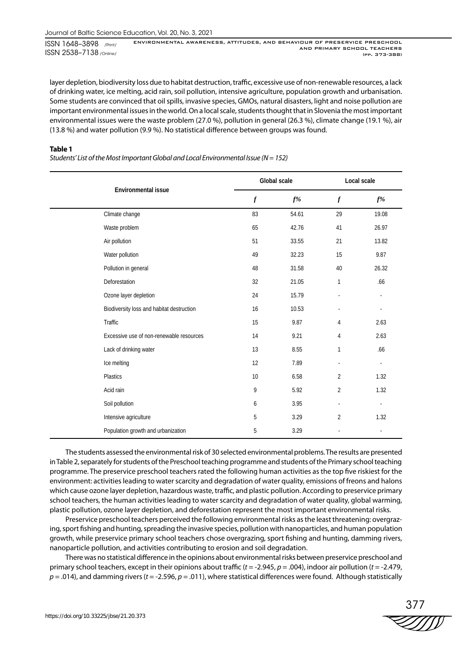layer depletion, biodiversity loss due to habitat destruction, traffic, excessive use of non-renewable resources, a lack of drinking water, ice melting, acid rain, soil pollution, intensive agriculture, population growth and urbanisation. Some students are convinced that oil spills, invasive species, GMOs, natural disasters, light and noise pollution are important environmental issues in the world. On a local scale, students thought that in Slovenia the most important environmental issues were the waste problem (27.0 %), pollution in general (26.3 %), climate change (19.1 %), air (13.8 %) and water pollution (9.9 %). No statistical difference between groups was found.

#### **Table 1**

*Students' List of the Most Important Global and Local Environmental Issue (N = 152)*

|                                           |                  | Global scale | Local scale      |                |  |
|-------------------------------------------|------------------|--------------|------------------|----------------|--|
| Environmental issue                       | $\boldsymbol{f}$ | $f\%$        | $\boldsymbol{f}$ | $f\%$          |  |
| Climate change                            | 83               | 54.61        | 29               | 19.08          |  |
| Waste problem                             | 65               | 42.76        | 41               | 26.97          |  |
| Air pollution                             | 51               | 33.55        | 21               | 13.82          |  |
| Water pollution                           | 49               | 32.23        | 15               | 9.87           |  |
| Pollution in general                      | 48               | 31.58        | 40               | 26.32          |  |
| Deforestation                             | 32               | 21.05        | $\mathbf{1}$     | .66            |  |
| Ozone layer depletion                     | 24               | 15.79        |                  |                |  |
| Biodiversity loss and habitat destruction | 16               | 10.53        |                  |                |  |
| Traffic                                   | 15               | 9.87         | 4                | 2.63           |  |
| Excessive use of non-renewable resources  | 14               | 9.21         | 4                | 2.63           |  |
| Lack of drinking water                    | 13               | 8.55         | 1                | .66            |  |
| Ice melting                               | 12               | 7.89         |                  | $\blacksquare$ |  |
| Plastics                                  | 10               | 6.58         | $\overline{2}$   | 1.32           |  |
| Acid rain                                 | 9                | 5.92         | $\overline{2}$   | 1.32           |  |
| Soil pollution                            | 6                | 3.95         |                  |                |  |
| Intensive agriculture                     | 5                | 3.29         | $\overline{2}$   | 1.32           |  |
| Population growth and urbanization        | 5                | 3.29         |                  | $\sim$         |  |

The students assessed the environmental risk of 30 selected environmental problems. The results are presented in Table 2, separately for students of the Preschool teaching programme and students of the Primary school teaching programme. The preservice preschool teachers rated the following human activities as the top five riskiest for the environment: activities leading to water scarcity and degradation of water quality, emissions of freons and halons which cause ozone layer depletion, hazardous waste, traffic, and plastic pollution. According to preservice primary school teachers, the human activities leading to water scarcity and degradation of water quality, global warming, plastic pollution, ozone layer depletion, and deforestation represent the most important environmental risks.

Preservice preschool teachers perceived the following environmental risks as the least threatening: overgrazing, sport fishing and hunting, spreading the invasive species, pollution with nanoparticles, and human population growth, while preservice primary school teachers chose overgrazing, sport fishing and hunting, damming rivers, nanoparticle pollution, and activities contributing to erosion and soil degradation.

There was no statistical difference in the opinions about environmental risks between preservice preschool and primary school teachers, except in their opinions about traffic (*t* = -2.945, *p* = .004), indoor air pollution (*t* = -2.479, *p* = .014), and damming rivers (*t* = -2.596, *p* = .011), where statistical differences were found. Although statistically

$$
\stackrel{377}{\textstyle \sim 377}
$$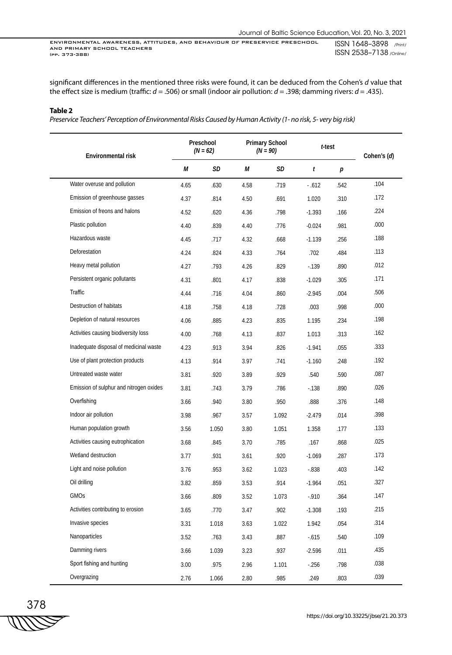significant differences in the mentioned three risks were found, it can be deduced from the Cohen's *d* value that the effect size is medium (traffic: *d* = .506) or small (indoor air pollution: *d* = .398; damming rivers: *d* = .435).

#### **Table 2**

*Preservice Teachers' Perception of Environmental Risks Caused by Human Activity (1- no risk, 5- very big risk)*

| Environmental risk                      | Preschool<br>$(N = 62)$ |       |      | <b>Primary School</b><br>$(N = 90)$ | t-test   |      | Cohen's (d) |
|-----------------------------------------|-------------------------|-------|------|-------------------------------------|----------|------|-------------|
|                                         | М                       | SD    | М    | SD                                  | t        | р    |             |
| Water overuse and pollution             | 4.65                    | .630  | 4.58 | .719                                | $-0.612$ | .542 | .104        |
| Emission of greenhouse gasses           | 4.37                    | .814  | 4.50 | .691                                | 1.020    | .310 | .172        |
| Emission of freons and halons           | 4.52                    | .620  | 4.36 | .798                                | $-1.393$ | .166 | .224        |
| Plastic pollution                       | 4.40                    | .839  | 4.40 | .776                                | $-0.024$ | .981 | .000        |
| Hazardous waste                         | 4.45                    | .717  | 4.32 | .668                                | $-1.139$ | .256 | .188        |
| Deforestation                           | 4.24                    | .824  | 4.33 | .764                                | .702     | .484 | .113        |
| Heavy metal pollution                   | 4.27                    | .793  | 4.26 | .829                                | $-139$   | .890 | .012        |
| Persistent organic pollutants           | 4.31                    | .801  | 4.17 | .838                                | $-1.029$ | .305 | .171        |
| Traffic                                 | 4.44                    | .716  | 4.04 | .860                                | $-2.945$ | .004 | .506        |
| Destruction of habitats                 | 4.18                    | .758  | 4.18 | .728                                | .003     | .998 | .000        |
| Depletion of natural resources          | 4.06                    | .885  | 4.23 | .835                                | 1.195    | .234 | .198        |
| Activities causing biodiversity loss    | 4.00                    | .768  | 4.13 | .837                                | 1.013    | .313 | .162        |
| Inadequate disposal of medicinal waste  | 4.23                    | .913  | 3.94 | .826                                | $-1.941$ | .055 | .333        |
| Use of plant protection products        | 4.13                    | .914  | 3.97 | .741                                | $-1.160$ | .248 | .192        |
| Untreated waste water                   | 3.81                    | .920  | 3.89 | .929                                | .540     | .590 | .087        |
| Emission of sulphur and nitrogen oxides | 3.81                    | .743  | 3.79 | .786                                | $-138$   | .890 | .026        |
| Overfishing                             | 3.66                    | .940  | 3.80 | .950                                | .888     | .376 | .148        |
| Indoor air pollution                    | 3.98                    | .967  | 3.57 | 1.092                               | $-2.479$ | .014 | .398        |
| Human population growth                 | 3.56                    | 1.050 | 3.80 | 1.051                               | 1.358    | .177 | .133        |
| Activities causing eutrophication       | 3.68                    | .845  | 3.70 | .785                                | .167     | .868 | .025        |
| Wetland destruction                     | 3.77                    | .931  | 3.61 | .920                                | $-1.069$ | .287 | .173        |
| Light and noise pollution               | 3.76                    | .953  | 3.62 | 1.023                               | $-0.838$ | .403 | .142        |
| Oil drilling                            | 3.82                    | .859  | 3.53 | .914                                | $-1.964$ | .051 | .327        |
| GMOs                                    | 3.66                    | .809  | 3.52 | 1.073                               | $-.910$  | .364 | .147        |
| Activities contributing to erosion      | 3.65                    | .770  | 3.47 | .902                                | $-1.308$ | .193 | .215        |
| Invasive species                        | 3.31                    | 1.018 | 3.63 | 1.022                               | 1.942    | .054 | .314        |
| Nanoparticles                           | 3.52                    | .763  | 3.43 | .887                                | $-615$   | .540 | .109        |
| Damming rivers                          | 3.66                    | 1.039 | 3.23 | .937                                | $-2.596$ | .011 | .435        |
| Sport fishing and hunting               | 3.00                    | .975  | 2.96 | 1.101                               | $-256$   | .798 | .038        |
| Overgrazing                             | 2.76                    | 1.066 | 2.80 | .985                                | .249     | .803 | .039        |

$$
\begin{array}{c}\n 378 \\
\hline\n \text{WW} \\
\end{array}
$$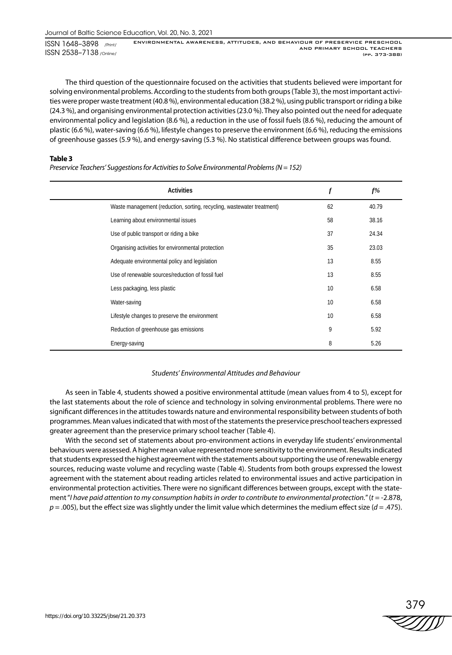The third question of the questionnaire focused on the activities that students believed were important for solving environmental problems. According to the students from both groups (Table 3), the most important activities were proper waste treatment (40.8 %), environmental education (38.2 %), using public transport or riding a bike (24.3 %), and organising environmental protection activities (23.0 %). They also pointed out the need for adequate environmental policy and legislation (8.6 %), a reduction in the use of fossil fuels (8.6 %), reducing the amount of plastic (6.6 %), water-saving (6.6 %), lifestyle changes to preserve the environment (6.6 %), reducing the emissions of greenhouse gasses (5.9 %), and energy-saving (5.3 %). No statistical difference between groups was found.

#### **Table 3**

*Preservice Teachers' Suggestions for Activities to Solve Environmental Problems (N = 152)*

| <b>Activities</b>                                                      | $\boldsymbol{f}$ | $f\%$ |
|------------------------------------------------------------------------|------------------|-------|
| Waste management (reduction, sorting, recycling, wastewater treatment) | 62               | 40.79 |
| Learning about environmental issues                                    | 58               | 38.16 |
| Use of public transport or riding a bike                               | 37               | 24.34 |
| Organising activities for environmental protection                     | 35               | 23.03 |
| Adequate environmental policy and legislation                          | 13               | 8.55  |
| Use of renewable sources/reduction of fossil fuel                      | 13               | 8.55  |
| Less packaging, less plastic                                           | 10               | 6.58  |
| Water-saving                                                           | 10               | 6.58  |
| Lifestyle changes to preserve the environment                          | 10               | 6.58  |
| Reduction of greenhouse gas emissions                                  | 9                | 5.92  |
| Energy-saving                                                          | 8                | 5.26  |

### *Students' Environmental Attitudes and Behaviour*

As seen in Table 4, students showed a positive environmental attitude (mean values from 4 to 5), except for the last statements about the role of science and technology in solving environmental problems. There were no significant differences in the attitudes towards nature and environmental responsibility between students of both programmes. Mean values indicated that with most of the statements the preservice preschool teachers expressed greater agreement than the preservice primary school teacher (Table 4).

With the second set of statements about pro-environment actions in everyday life students' environmental behaviours were assessed. A higher mean value represented more sensitivity to the environment. Results indicated that students expressed the highest agreement with the statements about supporting the use of renewable energy sources, reducing waste volume and recycling waste (Table 4). Students from both groups expressed the lowest agreement with the statement about reading articles related to environmental issues and active participation in environmental protection activities. There were no significant differences between groups, except with the statement "*I have paid attention to my consumption habits in order to contribute to environmental protection.*" (*t* = -2.878, *p* = .005), but the effect size was slightly under the limit value which determines the medium effect size (*d* = .475).

$$
\stackrel{379}{\text{2000}}
$$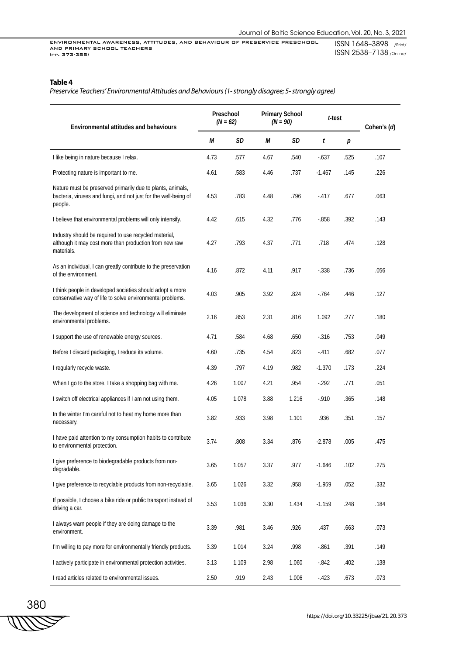## **Table 4**

*Preservice Teachers' Environmental Attitudes and Behaviours (1- strongly disagree; 5- strongly agree)*

| <b>Environmental attitudes and behaviours</b>                                                                                            | Preschool<br>$(N = 62)$ |       | <b>Primary School</b><br>$(N = 90)$ |       | t-test   |      | Cohen's (d) |  |
|------------------------------------------------------------------------------------------------------------------------------------------|-------------------------|-------|-------------------------------------|-------|----------|------|-------------|--|
|                                                                                                                                          | М                       | SD    | М                                   | SD    | t        | р    |             |  |
| I like being in nature because I relax.                                                                                                  | 4.73                    | .577  | 4.67                                | .540  | $-637$   | .525 | .107        |  |
| Protecting nature is important to me.                                                                                                    | 4.61                    | .583  | 4.46                                | .737  | $-1.467$ | .145 | .226        |  |
| Nature must be preserved primarily due to plants, animals,<br>bacteria, viruses and fungi, and not just for the well-being of<br>people. | 4.53                    | .783  | 4.48                                | .796  | $-417$   | .677 | .063        |  |
| I believe that environmental problems will only intensify.                                                                               | 4.42                    | .615  | 4.32                                | .776  | $-0.858$ | .392 | .143        |  |
| Industry should be required to use recycled material,<br>although it may cost more than production from new raw<br>materials.            | 4.27                    | .793  | 4.37                                | .771  | .718     | .474 | .128        |  |
| As an individual, I can greatly contribute to the preservation<br>of the environment.                                                    | 4.16                    | .872  | 4.11                                | .917  | $-0.338$ | .736 | .056        |  |
| I think people in developed societies should adopt a more<br>conservative way of life to solve environmental problems.                   | 4.03                    | .905  | 3.92                                | .824  | $-764$   | .446 | .127        |  |
| The development of science and technology will eliminate<br>environmental problems.                                                      | 2.16                    | .853  | 2.31                                | .816  | 1.092    | .277 | .180        |  |
| I support the use of renewable energy sources.                                                                                           | 4.71                    | .584  | 4.68                                | .650  | $-316$   | .753 | .049        |  |
| Before I discard packaging, I reduce its volume.                                                                                         | 4.60                    | .735  | 4.54                                | .823  | $-411$   | .682 | .077        |  |
| I regularly recycle waste.                                                                                                               | 4.39                    | .797  | 4.19                                | .982  | $-1.370$ | .173 | .224        |  |
| When I go to the store, I take a shopping bag with me.                                                                                   | 4.26                    | 1.007 | 4.21                                | .954  | $-292$   | .771 | .051        |  |
| I switch off electrical appliances if I am not using them.                                                                               | 4.05                    | 1.078 | 3.88                                | 1.216 | $-910$   | .365 | .148        |  |
| In the winter I'm careful not to heat my home more than<br>necessary.                                                                    | 3.82                    | .933  | 3.98                                | 1.101 | .936     | .351 | .157        |  |
| I have paid attention to my consumption habits to contribute<br>to environmental protection.                                             | 3.74                    | .808  | 3.34                                | .876  | $-2.878$ | .005 | .475        |  |
| I give preference to biodegradable products from non-<br>degradable.                                                                     | 3.65                    | 1.057 | 3.37                                | .977  | $-1.646$ | .102 | .275        |  |
| I give preference to recyclable products from non-recyclable.                                                                            | 3.65                    | 1.026 | 3.32                                | .958  | $-1.959$ | .052 | .332        |  |
| If possible, I choose a bike ride or public transport instead of<br>driving a car.                                                       | 3.53                    | 1.036 | 3.30                                | 1.434 | $-1.159$ | .248 | .184        |  |
| I always warn people if they are doing damage to the<br>environment.                                                                     | 3.39                    | .981  | 3.46                                | .926  | .437     | .663 | .073        |  |
| I'm willing to pay more for environmentally friendly products.                                                                           | 3.39                    | 1.014 | 3.24                                | .998  | $-.861$  | .391 | .149        |  |
| I actively participate in environmental protection activities.                                                                           | 3.13                    | 1.109 | 2.98                                | 1.060 | $-842$   | .402 | .138        |  |
| I read articles related to environmental issues.                                                                                         | 2.50                    | .919  | 2.43                                | 1.006 | $-423$   | .673 | .073        |  |

380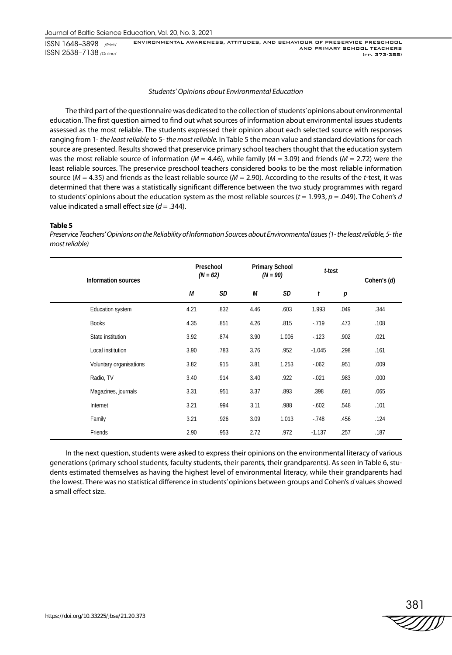#### *Students' Opinions about Environmental Education*

The third part of the questionnaire was dedicated to the collection of students' opinions about environmental education. The first question aimed to find out what sources of information about environmental issues students assessed as the most reliable. The students expressed their opinion about each selected source with responses ranging from 1- *the least reliable* to 5- *the most reliable.* In Table 5 the mean value and standard deviations for each source are presented. Results showed that preservice primary school teachers thought that the education system was the most reliable source of information (*M* = 4.46), while family (*M* = 3.09) and friends (*M* = 2.72) were the least reliable sources. The preservice preschool teachers considered books to be the most reliable information source (*M* = 4.35) and friends as the least reliable source (*M* = 2.90). According to the results of the *t*-test, it was determined that there was a statistically significant difference between the two study programmes with regard to students' opinions about the education system as the most reliable sources  $(t = 1.993, p = .049)$ . The Cohen's *d* value indicated a small effect size (*d* = .344).

#### **Table 5**

*Preservice Teachers' Opinions on the Reliability of Information Sources about Environmental Issues (1- the least reliable, 5- the most reliable)*

| Information sources     |      | Preschool<br>$(N = 62)$ |      | <b>Primary School</b><br>$(N = 90)$ | t-test   |      | Cohen's (d) |
|-------------------------|------|-------------------------|------|-------------------------------------|----------|------|-------------|
|                         | М    | <b>SD</b>               | М    | SD                                  | t        | p    |             |
| Education system        | 4.21 | .832                    | 4.46 | .603                                | 1.993    | .049 | .344        |
| <b>Books</b>            | 4.35 | .851                    | 4.26 | .815                                | $-719$   | .473 | .108        |
| State institution       | 3.92 | .874                    | 3.90 | 1.006                               | $-123$   | .902 | .021        |
| Local institution       | 3.90 | .783                    | 3.76 | .952                                | $-1.045$ | .298 | .161        |
| Voluntary organisations | 3.82 | .915                    | 3.81 | 1.253                               | $-062$   | .951 | .009        |
| Radio, TV               | 3.40 | .914                    | 3.40 | .922                                | $-0.021$ | .983 | .000        |
| Magazines, journals     | 3.31 | .951                    | 3.37 | .893                                | .398     | .691 | .065        |
| Internet                | 3.21 | .994                    | 3.11 | .988                                | $-602$   | .548 | .101        |
| Family                  | 3.21 | .926                    | 3.09 | 1.013                               | $-.748$  | .456 | .124        |
| Friends                 | 2.90 | .953                    | 2.72 | .972                                | $-1.137$ | .257 | .187        |

In the next question, students were asked to express their opinions on the environmental literacy of various generations (primary school students, faculty students, their parents, their grandparents). As seen in Table 6, students estimated themselves as having the highest level of environmental literacy, while their grandparents had the lowest. There was no statistical difference in students' opinions between groups and Cohen's *d* values showed a small effect size.

381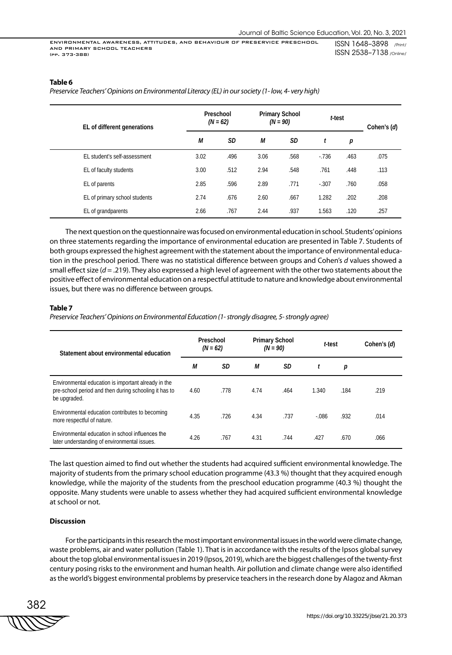#### **Table 6**

*Preservice Teachers' Opinions on Environmental Literacy (EL) in our society (1- low, 4- very high)*

| EL of different generations   |      | Preschool<br>$(N = 62)$ |      | <b>Primary School</b><br>$(N = 90)$ | t-test  |      | Cohen's (d) |
|-------------------------------|------|-------------------------|------|-------------------------------------|---------|------|-------------|
|                               | М    | <b>SD</b>               | М    | SD                                  | t       | р    |             |
| EL student's self-assessment  | 3.02 | .496                    | 3.06 | .568                                | $-736$  | .463 | .075        |
| EL of faculty students        | 3.00 | .512                    | 2.94 | .548                                | .761    | .448 | .113        |
| EL of parents                 | 2.85 | .596                    | 2.89 | .771                                | $-.307$ | .760 | .058        |
| EL of primary school students | 2.74 | .676                    | 2.60 | .667                                | 1.282   | .202 | .208        |
| EL of grandparents            | 2.66 | .767                    | 2.44 | .937                                | 1.563   | .120 | .257        |

The next question on the questionnaire was focused on environmental education in school. Students' opinions on three statements regarding the importance of environmental education are presented in Table 7. Students of both groups expressed the highest agreement with the statement about the importance of environmental education in the preschool period. There was no statistical difference between groups and Cohen's *d* values showed a small effect size (*d* = .219). They also expressed a high level of agreement with the other two statements about the positive effect of environmental education on a respectful attitude to nature and knowledge about environmental issues, but there was no difference between groups.

#### **Table 7**

*Preservice Teachers' Opinions on Environmental Education (1- strongly disagree, 5- strongly agree)*

| Statement about environmental education                                                                                      |      | Preschool<br>$(N = 62)$ |      | <b>Primary School</b><br>$(N = 90)$ | t-test |      | Cohen's (d) |
|------------------------------------------------------------------------------------------------------------------------------|------|-------------------------|------|-------------------------------------|--------|------|-------------|
|                                                                                                                              | М    | SD                      | М    | <b>SD</b>                           |        | р    |             |
| Environmental education is important already in the<br>pre-school period and then during schooling it has to<br>be upgraded. | 4.60 | .778                    | 4.74 | .464                                | 1.340  | .184 | .219        |
| Environmental education contributes to becoming<br>more respectful of nature.                                                | 4.35 | .726                    | 4.34 | .737                                | $-086$ | .932 | .014        |
| Environmental education in school influences the<br>later understanding of environmental issues.                             | 4.26 | .767                    | 4.31 | .744                                | .427   | .670 | .066        |

The last question aimed to find out whether the students had acquired sufficient environmental knowledge. The majority of students from the primary school education programme (43.3 %) thought that they acquired enough knowledge, while the majority of the students from the preschool education programme (40.3 %) thought the opposite. Many students were unable to assess whether they had acquired sufficient environmental knowledge at school or not.

#### **Discussion**

For the participants in this research the most important environmental issues in the world were climate change, waste problems, air and water pollution (Table 1). That is in accordance with the results of the Ipsos global survey about the top global environmental issues in 2019 (Ipsos, 2019), which are the biggest challenges of the twenty-first century posing risks to the environment and human health. Air pollution and climate change were also identified as the world's biggest environmental problems by preservice teachers in the research done by Alagoz and Akman

382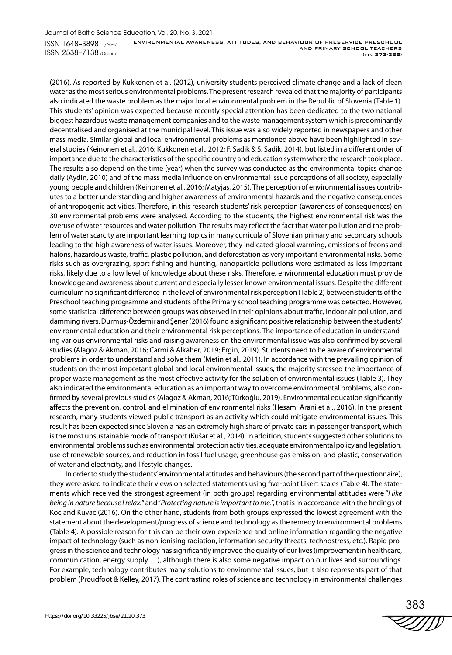(2016). As reported by Kukkonen et al. (2012), university students perceived climate change and a lack of clean water as the most serious environmental problems. The present research revealed that the majority of participants also indicated the waste problem as the major local environmental problem in the Republic of Slovenia (Table 1). This students' opinion was expected because recently special attention has been dedicated to the two national biggest hazardous waste management companies and to the waste management system which is predominantly decentralised and organised at the municipal level. This issue was also widely reported in newspapers and other mass media. Similar global and local environmental problems as mentioned above have been highlighted in several studies (Keinonen et al., 2016; Kukkonen et al., 2012; F. Sadik & S. Sadik, 2014), but listed in a different order of importance due to the characteristics of the specific country and education system where the research took place. The results also depend on the time (year) when the survey was conducted as the environmental topics change daily (Aydin, 2010) and of the mass media influence on environmental issue perceptions of all society, especially young people and children (Keinonen et al., 2016; Matyjas, 2015). The perception of environmental issues contributes to a better understanding and higher awareness of environmental hazards and the negative consequences of anthropogenic activities. Therefore, in this research students' risk perception (awareness of consequences) on 30 environmental problems were analysed. According to the students, the highest environmental risk was the overuse of water resources and water pollution. The results may reflect the fact that water pollution and the problem of water scarcity are important learning topics in many curricula of Slovenian primary and secondary schools leading to the high awareness of water issues. Moreover, they indicated global warming, emissions of freons and halons, hazardous waste, traffic, plastic pollution, and deforestation as very important environmental risks. Some risks such as overgrazing, sport fishing and hunting, nanoparticle pollutions were estimated as less important risks, likely due to a low level of knowledge about these risks. Therefore, environmental education must provide knowledge and awareness about current and especially lesser-known environmental issues. Despite the different curriculum no significant difference in the level of environmental risk perception (Table 2) between students of the Preschool teaching programme and students of the Primary school teaching programme was detected. However, some statistical difference between groups was observed in their opinions about traffic, indoor air pollution, and damming rivers. Durmuş-Özdemir and Şener (2016) found a significant positive relationship between the students' environmental education and their environmental risk perceptions. The importance of education in understanding various environmental risks and raising awareness on the environmental issue was also confirmed by several studies (Alagoz & Akman, 2016; Carmi & Alkaher, 2019; Ergin, 2019). Students need to be aware of environmental problems in order to understand and solve them (Metin et al., 2011). In accordance with the prevailing opinion of students on the most important global and local environmental issues, the majority stressed the importance of proper waste management as the most effective activity for the solution of environmental issues (Table 3). They also indicated the environmental education as an important way to overcome environmental problems, also confirmed by several previous studies (Alagoz & Akman, 2016; Türkoğlu, 2019). Environmental education significantly affects the prevention, control, and elimination of environmental risks (Hesami Arani et al., 2016). In the present research, many students viewed public transport as an activity which could mitigate environmental issues. This result has been expected since Slovenia has an extremely high share of private cars in passenger transport, which is the most unsustainable mode of transport (Kušar et al., 2014). In addition, students suggested other solutions to environmental problems such as environmental protection activities, adequate environmental policy and legislation, use of renewable sources, and reduction in fossil fuel usage, greenhouse gas emission, and plastic, conservation of water and electricity, and lifestyle changes.

In order to study the students' environmental attitudes and behaviours (the second part of the questionnaire), they were asked to indicate their views on selected statements using five-point Likert scales (Table 4). The statements which received the strongest agreement (in both groups) regarding environmental attitudes were "*I like being in nature because I relax.*" and "*Protecting nature is important to me.*", that is in accordance with the findings of Koc and Kuvac (2016). On the other hand, students from both groups expressed the lowest agreement with the statement about the development/progress of science and technology as the remedy to environmental problems (Table 4). A possible reason for this can be their own experience and online information regarding the negative impact of technology (such as non-ionising radiation, information security threats, technostress, etc.). Rapid progress in the science and technology has significantly improved the quality of our lives (improvement in healthcare, communication, energy supply …), although there is also some negative impact on our lives and surroundings. For example, technology contributes many solutions to environmental issues, but it also represents part of that problem (Proudfoot & Kelley, 2017). The contrasting roles of science and technology in environmental challenges

383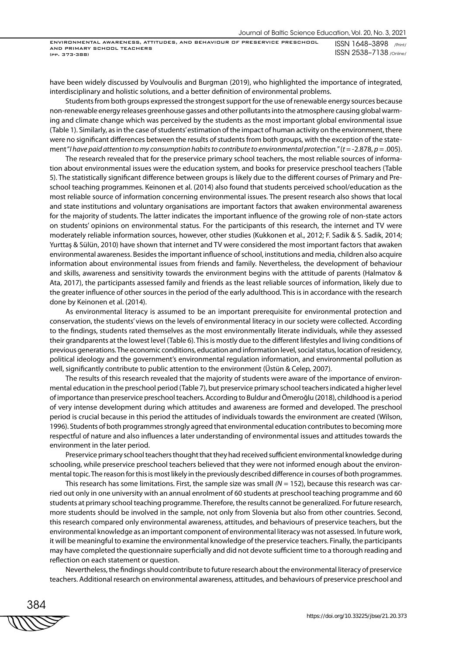have been widely discussed by Voulvoulis and Burgman (2019), who highlighted the importance of integrated, interdisciplinary and holistic solutions, and a better definition of environmental problems.

Students from both groups expressed the strongest support for the use of renewable energy sources because non-renewable energy releases greenhouse gasses and other pollutants into the atmosphere causing global warming and climate change which was perceived by the students as the most important global environmental issue (Table 1). Similarly, as in the case of students' estimation of the impact of human activity on the environment, there were no significant differences between the results of students from both groups, with the exception of the statement "*I have paid attention to my consumption habits to contribute to environmental protection.*" (*t* = -2.878, *p* = .005).

The research revealed that for the preservice primary school teachers, the most reliable sources of information about environmental issues were the education system, and books for preservice preschool teachers (Table 5). The statistically significant difference between groups is likely due to the different courses of Primary and Preschool teaching programmes. Keinonen et al. (2014) also found that students perceived school/education as the most reliable source of information concerning environmental issues. The present research also shows that local and state institutions and voluntary organisations are important factors that awaken environmental awareness for the majority of students. The latter indicates the important influence of the growing role of non-state actors on students' opinions on environmental status. For the participants of this research, the internet and TV were moderately reliable information sources, however, other studies (Kukkonen et al., 2012; F. Sadik & S. Sadik, 2014; Yurttaş & Sülün, 2010) have shown that internet and TV were considered the most important factors that awaken environmental awareness. Besides the important influence of school, institutions and media, children also acquire information about environmental issues from friends and family. Nevertheless, the development of behaviour and skills, awareness and sensitivity towards the environment begins with the attitude of parents (Halmatov & Ata, 2017), the participants assessed family and friends as the least reliable sources of information, likely due to the greater influence of other sources in the period of the early adulthood. This is in accordance with the research done by Keinonen et al. (2014).

As environmental literacy is assumed to be an important prerequisite for environmental protection and conservation, the students' views on the levels of environmental literacy in our society were collected. According to the findings, students rated themselves as the most environmentally literate individuals, while they assessed their grandparents at the lowest level (Table 6). This is mostly due to the different lifestyles and living conditions of previous generations. The economic conditions, education and information level, social status, location of residency, political ideology and the government's environmental regulation information, and environmental pollution as well, significantly contribute to public attention to the environment (Üstün & Celep, 2007).

The results of this research revealed that the majority of students were aware of the importance of environmental education in the preschool period (Table 7), but preservice primary school teachers indicated a higher level of importance than preservice preschool teachers. According to Buldur and Ömeroğlu (2018), childhood is a period of very intense development during which attitudes and awareness are formed and developed. The preschool period is crucial because in this period the attitudes of individuals towards the environment are created (Wilson, 1996). Students of both programmes strongly agreed that environmental education contributes to becoming more respectful of nature and also influences a later understanding of environmental issues and attitudes towards the environment in the later period.

Preservice primary school teachers thought that they had received sufficient environmental knowledge during schooling, while preservice preschool teachers believed that they were not informed enough about the environmental topic. The reason for this is most likely in the previously described difference in courses of both programmes.

This research has some limitations. First, the sample size was small *(N* = 152), because this research was carried out only in one university with an annual enrolment of 60 students at preschool teaching programme and 60 students at primary school teaching programme. Therefore, the results cannot be generalized. For future research, more students should be involved in the sample, not only from Slovenia but also from other countries. Second, this research compared only environmental awareness, attitudes, and behaviours of preservice teachers, but the environmental knowledge as an important component of environmental literacy was not assessed. In future work, it will be meaningful to examine the environmental knowledge of the preservice teachers. Finally, the participants may have completed the questionnaire superficially and did not devote sufficient time to a thorough reading and reflection on each statement or question.

Nevertheless, the findings should contribute to future research about the environmental literacy of preservice teachers. Additional research on environmental awareness, attitudes, and behaviours of preservice preschool and

384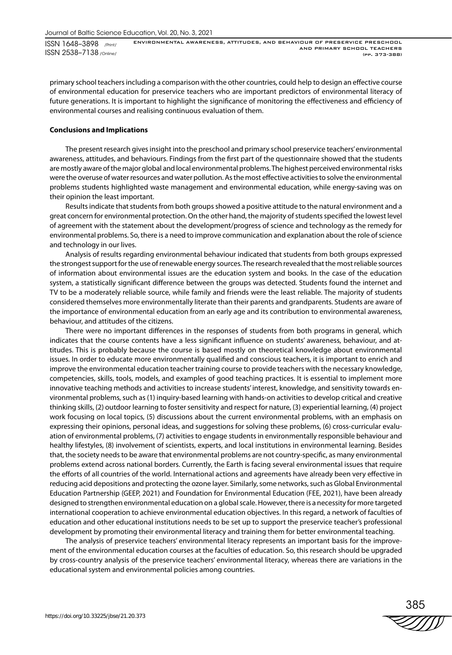primary school teachers including a comparison with the other countries, could help to design an effective course of environmental education for preservice teachers who are important predictors of environmental literacy of future generations. It is important to highlight the significance of monitoring the effectiveness and efficiency of environmental courses and realising continuous evaluation of them.

#### **Conclusions and Implications**

The present research gives insight into the preschool and primary school preservice teachers' environmental awareness, attitudes, and behaviours. Findings from the first part of the questionnaire showed that the students are mostly aware of the major global and local environmental problems. The highest perceived environmental risks were the overuse of water resources and water pollution. As the most effective activities to solve the environmental problems students highlighted waste management and environmental education, while energy-saving was on their opinion the least important.

Results indicate that students from both groups showed a positive attitude to the natural environment and a great concern for environmental protection. On the other hand, the majority of students specified the lowest level of agreement with the statement about the development/progress of science and technology as the remedy for environmental problems. So, there is a need to improve communication and explanation about the role of science and technology in our lives.

Analysis of results regarding environmental behaviour indicated that students from both groups expressed the strongest support for the use of renewable energy sources. The research revealed that the most reliable sources of information about environmental issues are the education system and books. In the case of the education system, a statistically significant difference between the groups was detected. Students found the internet and TV to be a moderately reliable source, while family and friends were the least reliable. The majority of students considered themselves more environmentally literate than their parents and grandparents. Students are aware of the importance of environmental education from an early age and its contribution to environmental awareness, behaviour, and attitudes of the citizens.

There were no important differences in the responses of students from both programs in general, which indicates that the course contents have a less significant influence on students' awareness, behaviour, and attitudes. This is probably because the course is based mostly on theoretical knowledge about environmental issues. In order to educate more environmentally qualified and conscious teachers, it is important to enrich and improve the environmental education teacher training course to provide teachers with the necessary knowledge, competencies, skills, tools, models, and examples of good teaching practices. It is essential to implement more innovative teaching methods and activities to increase students' interest, knowledge, and sensitivity towards environmental problems, such as (1) inquiry-based learning with hands-on activities to develop critical and creative thinking skills, (2) outdoor learning to foster sensitivity and respect for nature, (3) experiential learning, (4) project work focusing on local topics, (5) discussions about the current environmental problems, with an emphasis on expressing their opinions, personal ideas, and suggestions for solving these problems, (6) cross-curricular evaluation of environmental problems, (7) activities to engage students in environmentally responsible behaviour and healthy lifestyles, (8) involvement of scientists, experts, and local institutions in environmental learning. Besides that, the society needs to be aware that environmental problems are not country-specific, as many environmental problems extend across national borders. Currently, the Earth is facing several environmental issues that require the efforts of all countries of the world. International actions and agreements have already been very effective in reducing acid depositions and protecting the ozone layer. Similarly, some networks, such as Global Environmental Education Partnership (GEEP, 2021) and Foundation for Environmental Education (FEE, 2021), have been already designed to strengthen environmental education on a global scale. However, there is a necessity for more targeted international cooperation to achieve environmental education objectives. In this regard, a network of faculties of education and other educational institutions needs to be set up to support the preservice teacher's professional development by promoting their environmental literacy and training them for better environmental teaching.

The analysis of preservice teachers' environmental literacy represents an important basis for the improvement of the environmental education courses at the faculties of education. So, this research should be upgraded by cross-country analysis of the preservice teachers' environmental literacy, whereas there are variations in the educational system and environmental policies among countries.

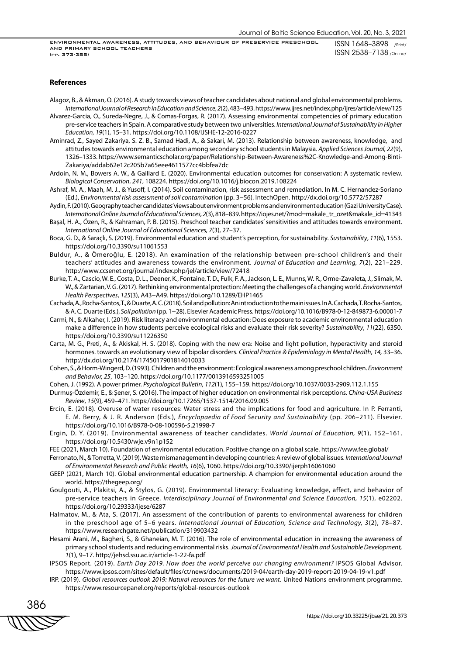#### **References**

Alagoz, B., & Akman, O. (2016). A study towards views of teacher candidates about national and global environmental problems. *International Journal of Research in Education and Science*, *2*(2), 483–493. https://www.ijres.net/index.php/ijres/article/view/125

- Alvarez-Garcia, O., Sureda-Negre, J., & Comas-Forgas, R. (2017). Assessing environmental competencies of primary education pre-service teachers in Spain. A comparative study between two universities. *International Journal of Sustainability in Higher Education, 19*(1), 15–31. https://doi.org/10.1108/IJSHE-12-2016-0227
- Aminrad, Z., Sayed Zakariya, S. Z. B., Samad Hadi, A., & Sakari, M. (2013). Relationship between awareness, knowledge, and attitudes towards environmental education among secondary school students in Malaysia. *Applied Sciences Journal, 22*(9), 1326–1333. https://www.semanticscholar.org/paper/Relationship-Between-Awareness%2C-Knowledge-and-Among-Binti-Zakariya/addab62e12c205b7a65eee4611577cc4bbfea7dc
- Ardoin, N. M., Bowers A. W., & Gaillard E. (2020). Environmental education outcomes for conservation: A systematic review. *Biological Conservation*, *241*, 108224. https://doi.org/10.1016/j.biocon.2019.108224
- Ashraf, M. A., Maah, M. J., & Yusoff, I. (2014). Soil contamination, risk assessment and remediation. In M. C. Hernandez-Soriano (Ed.), *Environmental risk assessment of soil contamination* (pp. 3−56). IntechOpen. http://dx.doi.org/10.5772/57287
- Aydin, F. (2010). Geography teacher candidates' views about environment problems and environment education (Gazi University Case). *International Online Journal of Educational Sciences, 2*(3), 818–839. https://iojes.net/?mod=makale\_tr\_ozet&makale\_id=41343
- Başal, H. A., Özen, R., & Kahraman, P. B. (2015). Preschool teacher candidates' sensitivities and attitudes towards environment. *International Online Journal of Educational Sciences, 7*(3), 27–37.
- Boca, G. D., & Saraçlı, S. (2019). Environmental education and student's perception, for sustainability. *Sustainability*, *11*(6), 1553. https://doi.org/10.3390/su11061553
- Buldur, A., & Ömeroğlu, E. (2018). An examination of the relationship between pre-school children's and their teachers' attitudes and awareness towards the environment. *Journal of Education and Learning, 7*(2), 221–229. http://www.ccsenet.org/journal/index.php/jel/article/view/72418
- Burke, T. A., Cascio, W. E., Costa, D. L., Deener, K., Fontaine, T. D., Fulk, F. A., Jackson, L. E., Munns, W. R., Orme-Zavaleta, J., Slimak, M. W., & Zartarian, V. G. (2017). Rethinking environmental protection: Meeting the challenges of a changing world. *Environmental Health Perspectives*, *125*(3), A43−A49. https://doi.org/10.1289/EHP1465
- Cachada, A., Rocha-Santos, T., & Duarte, A. C. (2018). Soil and pollution: An introduction to the main issues. In A. Cachada, T. Rocha-Santos, & A. C. Duarte (Eds.), *Soil pollution* (pp. 1−28). Elsevier Academic Press. https://doi.org/10.1016/B978-0-12-849873-6.00001-7
- Carmi, N., & Alkaher, I. (2019). Risk literacy and environmental education: Does exposure to academic environmental education make a difference in how students perceive ecological risks and evaluate their risk severity? *Sustainability*, *11*(22), 6350. https://doi.org/10.3390/su11226350
- Carta, M. G., Preti, A., & Akiskal, H. S. (2018). Coping with the new era: Noise and light pollution, hyperactivity and steroid hormones. towards an evolutionary view of bipolar disorders. *Clinical Practice & Epidemiology in Mental Health*, *14,* 33–36. http://dx.doi.org/10.2174/1745017901814010033
- Cohen, S., & Horm-Wingerd, D. (1993). Children and the environment: Ecological awareness among preschool children. *Environment and Behavior, 25*, 103–120. https://doi.org/10.1177/0013916593251005
- Cohen, J. (1992). A power primer. *Psychological Bulletin*, *112*(1), 155–159. https://doi.org/10.1037/0033-2909.112.1.155
- Durmuş-Özdemir, E., & Şener, S. (2016). The impact of higher education on environmental risk perceptions. *China-USA Business Review*, *15*(9), 459–471. https://doi.org/10.17265/1537-1514/2016.09.005
- Ercin, E. (2018). Overuse of water resources: Water stress and the implications for food and agriculture. In P. Ferranti, E. M. Berry, & J. R. Anderson (Eds.), *Encyclopaedia of Food Security and Sustainability* (pp. 206–211). Elsevier. https://doi.org/10.1016/B978-0-08-100596-5.21998-7
- Ergin, D. Y. (2019). Environmental awareness of teacher candidates. *World Journal of Education, 9*(1), 152–161. https://doi.org/10.5430/wje.v9n1p152
- FEE (2021, March 10). Foundation of environmental education. Positive change on a global scale. https://www.fee.global/
- Ferronato, N., & Torretta, V. (2019). Waste mismanagement in developing countries: A review of global issues. *International Journal of Environmental Research and Public Health, 16*(6), 1060. https://doi.org/10.3390/ijerph16061060
- GEEP (2021, March 10). Global environmental education partnership. A champion for environmental education around the world. https://thegeep.org/
- Goulgouti, A., Plakitsi, A., & Stylos, G. (2019). Environmental literacy: Evaluating knowledge, affect, and behavior of pre-service teachers in Greece. *Interdisciplinary Journal of Environmental and Science Education, 15*(1), e02202. https://doi.org/10.29333/ijese/6287
- Halmatov, M., & Ata, S. (2017). An assessment of the contribution of parents to environmental awareness for children in the preschool age of 5–6 years. *International Journal of Education, Science and Technology, 3*(2), 78–87. https://www.researchgate.net/publication/319903432
- Hesami Arani, M., Bagheri, S., & Ghaneian, M. T. (2016). The role of environmental education in increasing the awareness of primary school students and reducing environmental risks. *Journal of Environmental Health and Sustainable Development, 1*(1), 9–17. http://jehsd.ssu.ac.ir/article-1-22-fa.pdf
- IPSOS Report. (2019). *Earth Day 2019. How does the world perceive our changing environment?* IPSOS Global Advisor. https://www.ipsos.com/sites/default/files/ct/news/documents/2019-04/earth-day-2019-report-2019-04-19-v1.pdf
- IRP. (2019). *Global resources outlook 2019: Natural resources for the future we want.* United Nations environment programme. https://www.resourcepanel.org/reports/global-resources-outlook

386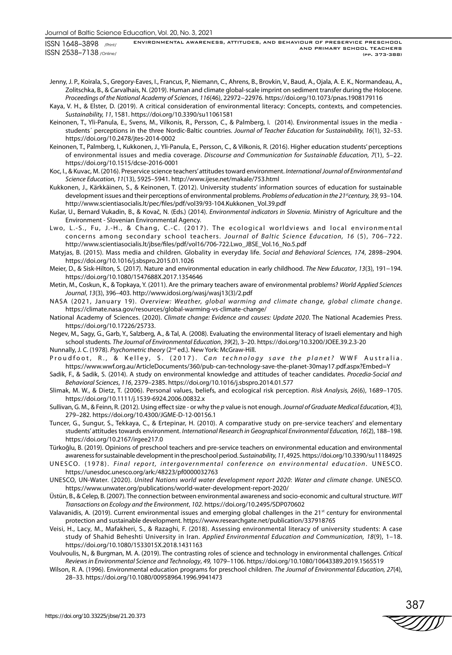Jenny, J. P., Koirala, S., Gregory-Eaves, I., Francus, P., Niemann, C., Ahrens, B., Brovkin, V., Baud, A., Ojala, A. E. K., Normandeau, A., Zolitschka, B., & Carvalhais, N. (2019). Human and climate global-scale imprint on sediment transfer during the Holocene. *Proceedings of the National Academy of Sciences*, *116*(46), 22972−22976*.* https://doi.org/10.1073/pnas.1908179116

- Kaya, V. H., & Elster, D. (2019). A critical consideration of environmental literacy: Concepts, contexts, and competencies. *Sustainability, 11*, 1581. https://doi.org/10.3390/su11061581
- Keinonen, T., Yli-Panula, E., Svens, M., Vilkonis, R., Persson, C., & Palmberg, I. (2014). Environmental issues in the media students´ perceptions in the three Nordic-Baltic countries. *Journal of Teacher Education for Sustainability, 16*(1), 32–53. https://doi.org/10.2478/jtes-2014-0002
- Keinonen, T., Palmberg, I., Kukkonen, J., Yli-Panula, E., Persson, C., & Vilkonis, R. (2016). Higher education students' perceptions of environmental issues and media coverage. *Discourse and Communication for Sustainable Education, 7*(1), 5–22. https://doi.org/10.1515/dcse-2016-0001
- Koc, I., & Kuvac, M. (2016). Preservice science teachers' attitudes toward environment. *International Journal of Environmental and Science Education, 11*(13), 5925–5941. http://www.ijese.net/makale/753.html
- Kukkonen, J., Kärkkäinen, S., & Keinonen, T. (2012). University students' information sources of education for sustainable development issues and their perceptions of environmental problems. *Problems of education in the 21<sup>st</sup>century, 39,* 93–104. http://www.scientiasocialis.lt/pec/files/pdf/vol39/93-104.Kukkonen\_Vol.39.pdf
- Kušar, U., Bernard Vukadin, B., & Kovač, N. (Eds.) (2014). *Environmental indicators in Slovenia*. Ministry of Agriculture and the Environment - Slovenian Environmental Agency.
- Lwo, L.-S., Fu, J.-H., & Chang, C.-C. (2017). The ecological worldviews and local environmental concerns among secondary school teachers. *Journal of Baltic Science Education, 16* (5), 706–722. http://www.scientiasocialis.lt/jbse/files/pdf/vol16/706-722.Lwo\_JBSE\_Vol.16\_No.5.pdf
- Matyjas, B. (2015). Mass media and children. Globality in everyday life. *Social and Behavioral Sciences, 174*, 2898–2904. https://doi.org/10.1016/j.sbspro.2015.01.1026
- Meier, D., & Sisk-Hilton, S. (2017). Nature and environmental education in early childhood. *The New Educator*, *13*(3), 191−194. https://doi.org/10.1080/1547688X.2017.1354646
- Metin, M., Coskun, K., & Topkaya, Y. (2011). Are the primary teachers aware of environmental problems? *World Applied Sciences Journal*, *13*(3), 396–403. http://www.idosi.org/wasj/wasj13(3)/2.pdf
- NASA (2021, January 19). *Overview: Weather, global warming and climate change, global climate change*. https://climate.nasa.gov/resources/global-warming-vs-climate-change/
- National Academy of Sciences. (2020). *Climate change: Evidence and causes: Update 2020*. The National Academies Press. https://doi.org/10.17226/25733.
- Negev, M., Sagy, G., Garb, Y., Salzberg, A., & Tal, A. (2008). Evaluating the environmental literacy of Israeli elementary and high school students. *The Journal of Environmental Education*, *39*(2), 3–20. https://doi.org/10.3200/JOEE.39.2.3-20
- Nunnally, J. C. (1978). *Psychometric theory* (2nd ed.). New York: McGraw-Hill.
- Proudfoot, R., & Kelley, S. (2017). *Can technology save the planet?* WWF Australia. https://www.wwf.org.au/ArticleDocuments/360/pub-can-technology-save-the-planet-30may17.pdf.aspx?Embed=Y
- Sadik, F., & Sadik, S. (2014). A study on environmental knowledge and attitudes of teacher candidates. *Procedia-Social and Behavioral Sciences*, *116*, 2379–2385. https://doi.org/10.1016/j.sbspro.2014.01.577
- Slimak, M. W., & Dietz, T. (2006). Personal values, beliefs, and ecological risk perception. *Risk Analysis, 26*(6), 1689–1705. https://doi.org/10.1111/j.1539-6924.2006.00832.x
- Sullivan, G. M., & Feinn, R. (2012). Using effect size or why the *p* value is not enough. *Journal of Graduate Medical Education*, *4*(3), 279–282. https://doi.org/10.4300/JGME-D-12-00156.1
- Tuncer, G., Sungur, S., Tekkaya, C., & Ertepinar, H. (2010). A comparative study on pre-service teachers' and elementary students' attitudes towards environment. *International Research in Geographical Environmental Education, 16*(2), 188–198. https://doi.org/10.2167/irgee217.0
- Türkoğlu, B. (2019). Opinions of preschool teachers and pre-service teachers on environmental education and environmental awareness for sustainable development in the preschool period. *Sustainability, 11*, 4925. https://doi.org/10.3390/su11184925
- UNESCO. (1978). Final report, intergovernmental conference on environmental education. UNESCO. https://unesdoc.unesco.org/ark:/48223/pf0000032763
- UNESCO, UN-Water. (2020). *United Nations world water development report 2020*: *Water and climate change*. UNESCO. https://www.unwater.org/publications/world-water-development-report-2020/
- Üstün, B., & Celep, B. (2007). The connection between environmental awareness and socio-economic and cultural structure. *WIT Transactions on Ecology and the Environment*, *102*. https://doi.org/10.2495/SDP070602
- Valavanidis, A. (2019). Current environmental issues and emerging global challenges in the 21<sup>st</sup> century for environmental protection and sustainable development. https://www.researchgate.net/publication/337918765
- Veisi, H., Lacy, M., Mafakheri, S., & Razaghi, F. (2018). Assessing environmental literacy of university students: A case study of Shahid Beheshti University in Iran. *Applied Environmental Education and Communication, 18*(9), 1–18. https://doi.org/10.1080/1533015X.2018.1431163
- Voulvoulis, N., & Burgman, M. A. (2019). The contrasting roles of science and technology in environmental challenges. *Critical Reviews in Environmental Science and Technology*, *49,* 1079–1106. https://doi.org/10.1080/10643389.2019.1565519
- Wilson, R. A. (1996). Environmental education programs for preschool children. *The Journal of Environmental Education, 27*(4), 28–33. https://doi.org/10.1080/00958964.1996.9941473